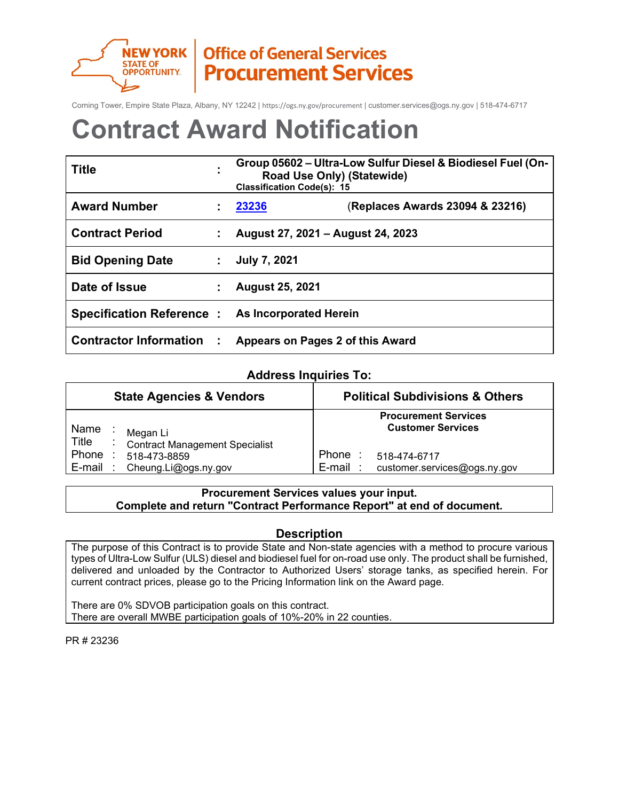

NEW YORK | Office of General Services **Procurement Services** 

Corning Tower, Empire State Plaza, Albany, NY 12242 | https://ogs.ny.gov/procurement | customer.services@ogs.ny.gov | 518-474-6717

# **Contract Award Notification**

| <b>Title</b>                                    | Group 05602 - Ultra-Low Sulfur Diesel & Biodiesel Fuel (On-<br>Road Use Only) (Statewide)<br><b>Classification Code(s): 15</b> |  |  |  |  |
|-------------------------------------------------|--------------------------------------------------------------------------------------------------------------------------------|--|--|--|--|
| <b>Award Number</b>                             | (Replaces Awards 23094 & 23216)<br>23236                                                                                       |  |  |  |  |
| <b>Contract Period</b>                          | August 27, 2021 – August 24, 2023                                                                                              |  |  |  |  |
| <b>Bid Opening Date</b>                         | <b>July 7, 2021</b>                                                                                                            |  |  |  |  |
| Date of Issue                                   | <b>August 25, 2021</b>                                                                                                         |  |  |  |  |
| Specification Reference: As Incorporated Herein |                                                                                                                                |  |  |  |  |
| <b>Contractor Information</b>                   | Appears on Pages 2 of this Award                                                                                               |  |  |  |  |

## **Address Inquiries To:**

| <b>State Agencies &amp; Vendors</b> |                                                   | <b>Political Subdivisions &amp; Others</b>              |  |  |
|-------------------------------------|---------------------------------------------------|---------------------------------------------------------|--|--|
| Name<br>Title                       | Megan Li<br><b>Contract Management Specialist</b> | <b>Procurement Services</b><br><b>Customer Services</b> |  |  |
| Phone                               | 518-473-8859                                      | Phone<br>518-474-6717                                   |  |  |
| E-mail                              | Cheung.Li@ogs.ny.gov                              | $E$ -mail:<br>customer.services@ogs.ny.gov              |  |  |

# **Procurement Services values your input. Complete and return "Contract Performance Report" at end of document.**

# **Description**

The purpose of this Contract is to provide State and Non-state agencies with a method to procure various types of Ultra-Low Sulfur (ULS) diesel and biodiesel fuel for on-road use only. The product shall be furnished, delivered and unloaded by the Contractor to Authorized Users' storage tanks, as specified herein. For current contract prices, please go to the Pricing Information link on the Award page.

There are 0% SDVOB participation goals on this contract. There are overall MWBE participation goals of 10%-20% in 22 counties.

PR # 23236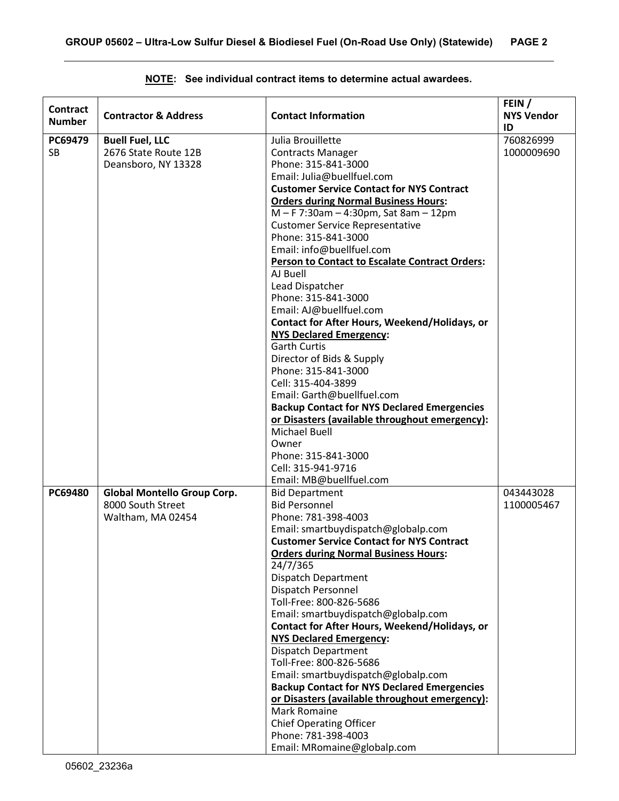| Contract<br><b>Number</b> | <b>Contractor &amp; Address</b> | <b>Contact Information</b>                            | FEIN /<br><b>NYS Vendor</b><br>ID |
|---------------------------|---------------------------------|-------------------------------------------------------|-----------------------------------|
| PC69479                   | <b>Buell Fuel, LLC</b>          | Julia Brouillette                                     | 760826999                         |
| <b>SB</b>                 | 2676 State Route 12B            | <b>Contracts Manager</b>                              | 1000009690                        |
|                           | Deansboro, NY 13328             | Phone: 315-841-3000                                   |                                   |
|                           |                                 | Email: Julia@buellfuel.com                            |                                   |
|                           |                                 | <b>Customer Service Contact for NYS Contract</b>      |                                   |
|                           |                                 | <b>Orders during Normal Business Hours:</b>           |                                   |
|                           |                                 | M-F7:30am-4:30pm, Sat 8am-12pm                        |                                   |
|                           |                                 | <b>Customer Service Representative</b>                |                                   |
|                           |                                 | Phone: 315-841-3000                                   |                                   |
|                           |                                 | Email: info@buellfuel.com                             |                                   |
|                           |                                 | <b>Person to Contact to Escalate Contract Orders:</b> |                                   |
|                           |                                 | AJ Buell                                              |                                   |
|                           |                                 | Lead Dispatcher                                       |                                   |
|                           |                                 | Phone: 315-841-3000                                   |                                   |
|                           |                                 | Email: AJ@buellfuel.com                               |                                   |
|                           |                                 | Contact for After Hours, Weekend/Holidays, or         |                                   |
|                           |                                 | <b>NYS Declared Emergency:</b>                        |                                   |
|                           |                                 | <b>Garth Curtis</b>                                   |                                   |
|                           |                                 | Director of Bids & Supply                             |                                   |
|                           |                                 | Phone: 315-841-3000                                   |                                   |
|                           |                                 | Cell: 315-404-3899                                    |                                   |
|                           |                                 | Email: Garth@buellfuel.com                            |                                   |
|                           |                                 | <b>Backup Contact for NYS Declared Emergencies</b>    |                                   |
|                           |                                 | or Disasters (available throughout emergency):        |                                   |
|                           |                                 | <b>Michael Buell</b>                                  |                                   |
|                           |                                 | Owner                                                 |                                   |
|                           |                                 | Phone: 315-841-3000                                   |                                   |
|                           |                                 | Cell: 315-941-9716                                    |                                   |
|                           |                                 | Email: MB@buellfuel.com                               |                                   |
| PC69480                   | Global Montello Group Corp.     | <b>Bid Department</b>                                 | 043443028                         |
|                           | 8000 South Street               | <b>Bid Personnel</b>                                  | 1100005467                        |
|                           | Waltham, MA 02454               | Phone: 781-398-4003                                   |                                   |
|                           |                                 | Email: smartbuydispatch@globalp.com                   |                                   |
|                           |                                 | <b>Customer Service Contact for NYS Contract</b>      |                                   |
|                           |                                 | <b>Orders during Normal Business Hours:</b>           |                                   |
|                           |                                 | 24/7/365                                              |                                   |
|                           |                                 | <b>Dispatch Department</b>                            |                                   |
|                           |                                 | Dispatch Personnel                                    |                                   |
|                           |                                 | Toll-Free: 800-826-5686                               |                                   |
|                           |                                 | Email: smartbuydispatch@globalp.com                   |                                   |
|                           |                                 | Contact for After Hours, Weekend/Holidays, or         |                                   |
|                           |                                 | <b>NYS Declared Emergency:</b>                        |                                   |
|                           |                                 | <b>Dispatch Department</b>                            |                                   |
|                           |                                 | Toll-Free: 800-826-5686                               |                                   |
|                           |                                 | Email: smartbuydispatch@globalp.com                   |                                   |
|                           |                                 | <b>Backup Contact for NYS Declared Emergencies</b>    |                                   |
|                           |                                 | or Disasters (available throughout emergency):        |                                   |
|                           |                                 | <b>Mark Romaine</b>                                   |                                   |
|                           |                                 | <b>Chief Operating Officer</b>                        |                                   |
|                           |                                 | Phone: 781-398-4003                                   |                                   |
|                           |                                 | Email: MRomaine@globalp.com                           |                                   |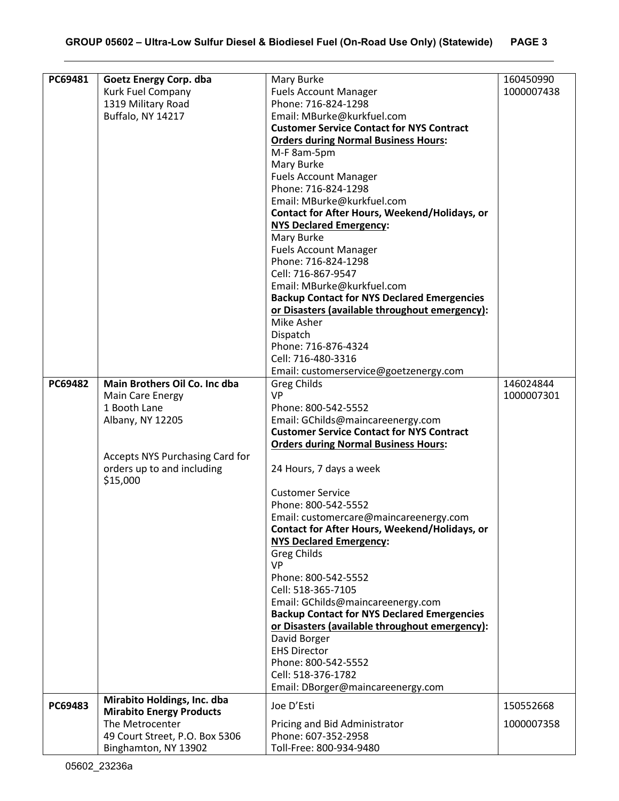| PC69481 | Goetz Energy Corp. dba          | Mary Burke                                                                              | 160450990  |
|---------|---------------------------------|-----------------------------------------------------------------------------------------|------------|
|         | Kurk Fuel Company               | <b>Fuels Account Manager</b>                                                            | 1000007438 |
|         | 1319 Military Road              | Phone: 716-824-1298                                                                     |            |
|         | Buffalo, NY 14217               | Email: MBurke@kurkfuel.com                                                              |            |
|         |                                 | <b>Customer Service Contact for NYS Contract</b>                                        |            |
|         |                                 | <b>Orders during Normal Business Hours:</b>                                             |            |
|         |                                 | M-F 8am-5pm                                                                             |            |
|         |                                 | Mary Burke                                                                              |            |
|         |                                 | <b>Fuels Account Manager</b>                                                            |            |
|         |                                 | Phone: 716-824-1298                                                                     |            |
|         |                                 |                                                                                         |            |
|         |                                 | Email: MBurke@kurkfuel.com                                                              |            |
|         |                                 | Contact for After Hours, Weekend/Holidays, or                                           |            |
|         |                                 | <b>NYS Declared Emergency:</b>                                                          |            |
|         |                                 | Mary Burke                                                                              |            |
|         |                                 | <b>Fuels Account Manager</b>                                                            |            |
|         |                                 | Phone: 716-824-1298                                                                     |            |
|         |                                 | Cell: 716-867-9547                                                                      |            |
|         |                                 | Email: MBurke@kurkfuel.com                                                              |            |
|         |                                 | <b>Backup Contact for NYS Declared Emergencies</b>                                      |            |
|         |                                 | or Disasters (available throughout emergency):                                          |            |
|         |                                 | Mike Asher                                                                              |            |
|         |                                 | Dispatch                                                                                |            |
|         |                                 | Phone: 716-876-4324                                                                     |            |
|         |                                 | Cell: 716-480-3316                                                                      |            |
|         |                                 | Email: customerservice@goetzenergy.com                                                  |            |
| PC69482 | Main Brothers Oil Co. Inc dba   | Greg Childs                                                                             | 146024844  |
|         | Main Care Energy                | <b>VP</b>                                                                               | 1000007301 |
|         | 1 Booth Lane                    | Phone: 800-542-5552                                                                     |            |
|         | Albany, NY 12205                | Email: GChilds@maincareenergy.com                                                       |            |
|         |                                 | <b>Customer Service Contact for NYS Contract</b>                                        |            |
|         |                                 | <b>Orders during Normal Business Hours:</b>                                             |            |
|         | Accepts NYS Purchasing Card for |                                                                                         |            |
|         | orders up to and including      | 24 Hours, 7 days a week                                                                 |            |
|         | \$15,000                        |                                                                                         |            |
|         |                                 | <b>Customer Service</b><br>Phone: 800-542-5552                                          |            |
|         |                                 |                                                                                         |            |
|         |                                 | Email: customercare@maincareenergy.com<br>Contact for After Hours, Weekend/Holidays, or |            |
|         |                                 | <b>NYS Declared Emergency:</b>                                                          |            |
|         |                                 | <b>Greg Childs</b>                                                                      |            |
|         |                                 | <b>VP</b>                                                                               |            |
|         |                                 | Phone: 800-542-5552                                                                     |            |
|         |                                 | Cell: 518-365-7105                                                                      |            |
|         |                                 | Email: GChilds@maincareenergy.com                                                       |            |
|         |                                 | <b>Backup Contact for NYS Declared Emergencies</b>                                      |            |
|         |                                 | or Disasters (available throughout emergency):                                          |            |
|         |                                 | David Borger                                                                            |            |
|         |                                 | <b>EHS Director</b>                                                                     |            |
|         |                                 | Phone: 800-542-5552                                                                     |            |
|         |                                 | Cell: 518-376-1782                                                                      |            |
|         |                                 | Email: DBorger@maincareenergy.com                                                       |            |
|         | Mirabito Holdings, Inc. dba     |                                                                                         |            |
| PC69483 | <b>Mirabito Energy Products</b> | Joe D'Esti                                                                              | 150552668  |
|         | The Metrocenter                 | Pricing and Bid Administrator                                                           | 1000007358 |
|         | 49 Court Street, P.O. Box 5306  | Phone: 607-352-2958                                                                     |            |
|         | Binghamton, NY 13902            | Toll-Free: 800-934-9480                                                                 |            |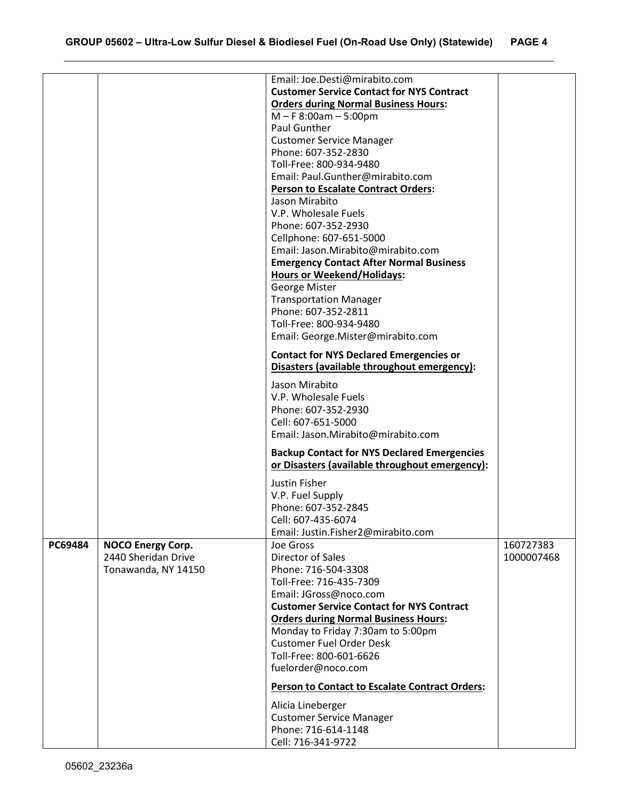|         |                          | Email: Joe.Desti@mirabito.com                         |            |
|---------|--------------------------|-------------------------------------------------------|------------|
|         |                          | <b>Customer Service Contact for NYS Contract</b>      |            |
|         |                          | <b>Orders during Normal Business Hours:</b>           |            |
|         |                          |                                                       |            |
|         |                          | $M - F$ 8:00am $- 5:00$ pm                            |            |
|         |                          | <b>Paul Gunther</b>                                   |            |
|         |                          | <b>Customer Service Manager</b>                       |            |
|         |                          | Phone: 607-352-2830                                   |            |
|         |                          | Toll-Free: 800-934-9480                               |            |
|         |                          | Email: Paul.Gunther@mirabito.com                      |            |
|         |                          | <b>Person to Escalate Contract Orders:</b>            |            |
|         |                          |                                                       |            |
|         |                          | Jason Mirabito                                        |            |
|         |                          | V.P. Wholesale Fuels                                  |            |
|         |                          | Phone: 607-352-2930                                   |            |
|         |                          | Cellphone: 607-651-5000                               |            |
|         |                          | Email: Jason.Mirabito@mirabito.com                    |            |
|         |                          | <b>Emergency Contact After Normal Business</b>        |            |
|         |                          |                                                       |            |
|         |                          | <b>Hours or Weekend/Holidays:</b>                     |            |
|         |                          | <b>George Mister</b>                                  |            |
|         |                          | <b>Transportation Manager</b>                         |            |
|         |                          | Phone: 607-352-2811                                   |            |
|         |                          | Toll-Free: 800-934-9480                               |            |
|         |                          | Email: George.Mister@mirabito.com                     |            |
|         |                          |                                                       |            |
|         |                          | <b>Contact for NYS Declared Emergencies or</b>        |            |
|         |                          | Disasters (available throughout emergency):           |            |
|         |                          |                                                       |            |
|         |                          | Jason Mirabito                                        |            |
|         |                          | V.P. Wholesale Fuels                                  |            |
|         |                          | Phone: 607-352-2930                                   |            |
|         |                          | Cell: 607-651-5000                                    |            |
|         |                          | Email: Jason.Mirabito@mirabito.com                    |            |
|         |                          |                                                       |            |
|         |                          | <b>Backup Contact for NYS Declared Emergencies</b>    |            |
|         |                          | or Disasters (available throughout emergency):        |            |
|         |                          |                                                       |            |
|         |                          | Justin Fisher                                         |            |
|         |                          | V.P. Fuel Supply                                      |            |
|         |                          | Phone: 607-352-2845                                   |            |
|         |                          | Cell: 607-435-6074                                    |            |
|         |                          | Email: Justin.Fisher2@mirabito.com                    |            |
| PC69484 | <b>NOCO Energy Corp.</b> | Joe Gross                                             | 160727383  |
|         | 2440 Sheridan Drive      | Director of Sales                                     | 1000007468 |
|         |                          |                                                       |            |
|         | Tonawanda, NY 14150      | Phone: 716-504-3308                                   |            |
|         |                          | Toll-Free: 716-435-7309                               |            |
|         |                          | Email: JGross@noco.com                                |            |
|         |                          | <b>Customer Service Contact for NYS Contract</b>      |            |
|         |                          | <b>Orders during Normal Business Hours:</b>           |            |
|         |                          | Monday to Friday 7:30am to 5:00pm                     |            |
|         |                          | <b>Customer Fuel Order Desk</b>                       |            |
|         |                          |                                                       |            |
|         |                          | Toll-Free: 800-601-6626                               |            |
|         |                          | fuelorder@noco.com                                    |            |
|         |                          | <b>Person to Contact to Escalate Contract Orders:</b> |            |
|         |                          | Alicia Lineberger                                     |            |
|         |                          | <b>Customer Service Manager</b>                       |            |
|         |                          | Phone: 716-614-1148                                   |            |
|         |                          | Cell: 716-341-9722                                    |            |
|         |                          |                                                       |            |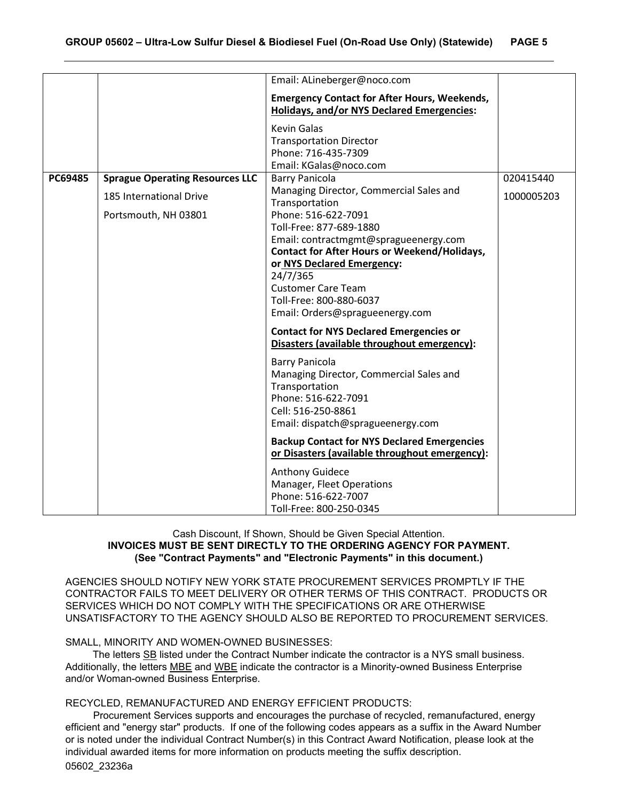|         |                                        | Email: ALineberger@noco.com                                                                              |            |
|---------|----------------------------------------|----------------------------------------------------------------------------------------------------------|------------|
|         |                                        | <b>Emergency Contact for After Hours, Weekends,</b><br><b>Holidays, and/or NYS Declared Emergencies:</b> |            |
|         |                                        | <b>Kevin Galas</b><br><b>Transportation Director</b><br>Phone: 716-435-7309                              |            |
|         |                                        | Email: KGalas@noco.com                                                                                   |            |
| PC69485 | <b>Sprague Operating Resources LLC</b> | <b>Barry Panicola</b>                                                                                    | 020415440  |
|         | 185 International Drive                | Managing Director, Commercial Sales and<br>Transportation                                                | 1000005203 |
|         | Portsmouth, NH 03801                   | Phone: 516-622-7091                                                                                      |            |
|         |                                        | Toll-Free: 877-689-1880<br>Email: contractmgmt@spragueenergy.com                                         |            |
|         |                                        | <b>Contact for After Hours or Weekend/Holidays,</b>                                                      |            |
|         |                                        | or NYS Declared Emergency:                                                                               |            |
|         |                                        | 24/7/365                                                                                                 |            |
|         |                                        | <b>Customer Care Team</b>                                                                                |            |
|         |                                        | Toll-Free: 800-880-6037                                                                                  |            |
|         |                                        | Email: Orders@spragueenergy.com                                                                          |            |
|         |                                        | <b>Contact for NYS Declared Emergencies or</b><br>Disasters (available throughout emergency):            |            |
|         |                                        | <b>Barry Panicola</b>                                                                                    |            |
|         |                                        | Managing Director, Commercial Sales and                                                                  |            |
|         |                                        | Transportation                                                                                           |            |
|         |                                        | Phone: 516-622-7091                                                                                      |            |
|         |                                        | Cell: 516-250-8861                                                                                       |            |
|         |                                        | Email: dispatch@spragueenergy.com                                                                        |            |
|         |                                        | <b>Backup Contact for NYS Declared Emergencies</b><br>or Disasters (available throughout emergency):     |            |
|         |                                        | <b>Anthony Guidece</b><br>Manager, Fleet Operations<br>Phone: 516-622-7007<br>Toll-Free: 800-250-0345    |            |

## Cash Discount, If Shown, Should be Given Special Attention. **INVOICES MUST BE SENT DIRECTLY TO THE ORDERING AGENCY FOR PAYMENT. (See "Contract Payments" and "Electronic Payments" in this document.)**

AGENCIES SHOULD NOTIFY NEW YORK STATE PROCUREMENT SERVICES PROMPTLY IF THE CONTRACTOR FAILS TO MEET DELIVERY OR OTHER TERMS OF THIS CONTRACT. PRODUCTS OR SERVICES WHICH DO NOT COMPLY WITH THE SPECIFICATIONS OR ARE OTHERWISE UNSATISFACTORY TO THE AGENCY SHOULD ALSO BE REPORTED TO PROCUREMENT SERVICES.

#### SMALL, MINORITY AND WOMEN-OWNED BUSINESSES:

The letters SB listed under the Contract Number indicate the contractor is a NYS small business. Additionally, the letters MBE and WBE indicate the contractor is a Minority-owned Business Enterprise and/or Woman-owned Business Enterprise.

## RECYCLED, REMANUFACTURED AND ENERGY EFFICIENT PRODUCTS:

05602\_23236a Procurement Services supports and encourages the purchase of recycled, remanufactured, energy efficient and "energy star" products. If one of the following codes appears as a suffix in the Award Number or is noted under the individual Contract Number(s) in this Contract Award Notification, please look at the individual awarded items for more information on products meeting the suffix description.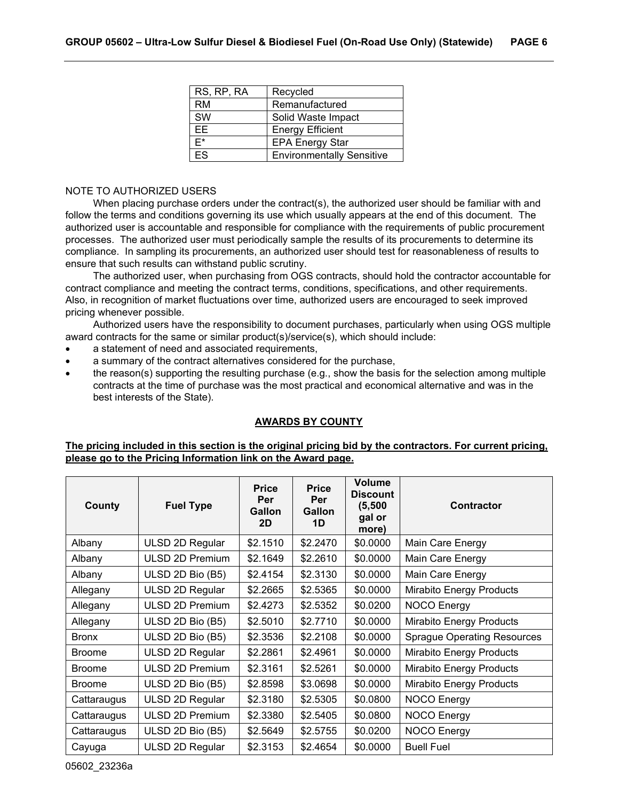| RS, RP, RA | Recycled                         |
|------------|----------------------------------|
| <b>RM</b>  | Remanufactured                   |
| <b>SW</b>  | Solid Waste Impact               |
| EE         | <b>Energy Efficient</b>          |
| F*         | <b>EPA Energy Star</b>           |
| FS         | <b>Environmentally Sensitive</b> |

#### NOTE TO AUTHORIZED USERS

When placing purchase orders under the contract(s), the authorized user should be familiar with and follow the terms and conditions governing its use which usually appears at the end of this document. The authorized user is accountable and responsible for compliance with the requirements of public procurement processes. The authorized user must periodically sample the results of its procurements to determine its compliance. In sampling its procurements, an authorized user should test for reasonableness of results to ensure that such results can withstand public scrutiny.

The authorized user, when purchasing from OGS contracts, should hold the contractor accountable for contract compliance and meeting the contract terms, conditions, specifications, and other requirements. Also, in recognition of market fluctuations over time, authorized users are encouraged to seek improved pricing whenever possible.

Authorized users have the responsibility to document purchases, particularly when using OGS multiple award contracts for the same or similar product(s)/service(s), which should include:

- a statement of need and associated requirements,
- a summary of the contract alternatives considered for the purchase,
- the reason(s) supporting the resulting purchase (e.g., show the basis for the selection among multiple contracts at the time of purchase was the most practical and economical alternative and was in the best interests of the State).

## **AWARDS BY COUNTY**

#### **The pricing included in this section is the original pricing bid by the contractors. For current pricing, please go to the Pricing Information link on the Award page.**

| County        | <b>Fuel Type</b>       | <b>Price</b><br>Per<br>Gallon<br>2D | <b>Price</b><br>Per<br><b>Gallon</b><br>1D | <b>Volume</b><br><b>Discount</b><br>(5,500)<br>gal or<br>more) | <b>Contractor</b>                  |
|---------------|------------------------|-------------------------------------|--------------------------------------------|----------------------------------------------------------------|------------------------------------|
| Albany        | ULSD 2D Regular        | \$2.1510                            | \$2.2470                                   | \$0.0000                                                       | Main Care Energy                   |
| Albany        | ULSD 2D Premium        | \$2.1649                            | \$2.2610                                   | \$0.0000                                                       | Main Care Energy                   |
| Albany        | ULSD 2D Bio (B5)       | \$2.4154                            | \$2.3130                                   | \$0.0000                                                       | Main Care Energy                   |
| Allegany      | ULSD 2D Regular        | \$2.2665                            | \$2.5365                                   | \$0.0000                                                       | Mirabito Energy Products           |
| Allegany      | <b>ULSD 2D Premium</b> | \$2.4273                            | \$2.5352                                   | \$0.0200                                                       | <b>NOCO Energy</b>                 |
| Allegany      | ULSD 2D Bio (B5)       | \$2.5010                            | \$2.7710                                   | \$0.0000                                                       | <b>Mirabito Energy Products</b>    |
| <b>Bronx</b>  | ULSD 2D Bio (B5)       | \$2.3536                            | \$2.2108                                   | \$0.0000                                                       | <b>Sprague Operating Resources</b> |
| <b>Broome</b> | ULSD 2D Regular        | \$2.2861                            | \$2.4961                                   | \$0.0000                                                       | Mirabito Energy Products           |
| <b>Broome</b> | <b>ULSD 2D Premium</b> | \$2.3161                            | \$2.5261                                   | \$0.0000                                                       | <b>Mirabito Energy Products</b>    |
| <b>Broome</b> | ULSD 2D Bio (B5)       | \$2.8598                            | \$3.0698                                   | \$0.0000                                                       | <b>Mirabito Energy Products</b>    |
| Cattaraugus   | ULSD 2D Regular        | \$2.3180                            | \$2.5305                                   | \$0.0800                                                       | <b>NOCO Energy</b>                 |
| Cattaraugus   | <b>ULSD 2D Premium</b> | \$2.3380                            | \$2.5405                                   | \$0.0800                                                       | <b>NOCO Energy</b>                 |
| Cattaraugus   | ULSD 2D Bio (B5)       | \$2.5649                            | \$2.5755                                   | \$0.0200                                                       | NOCO Energy                        |
| Cayuga        | <b>ULSD 2D Regular</b> | \$2.3153                            | \$2.4654                                   | \$0.0000                                                       | <b>Buell Fuel</b>                  |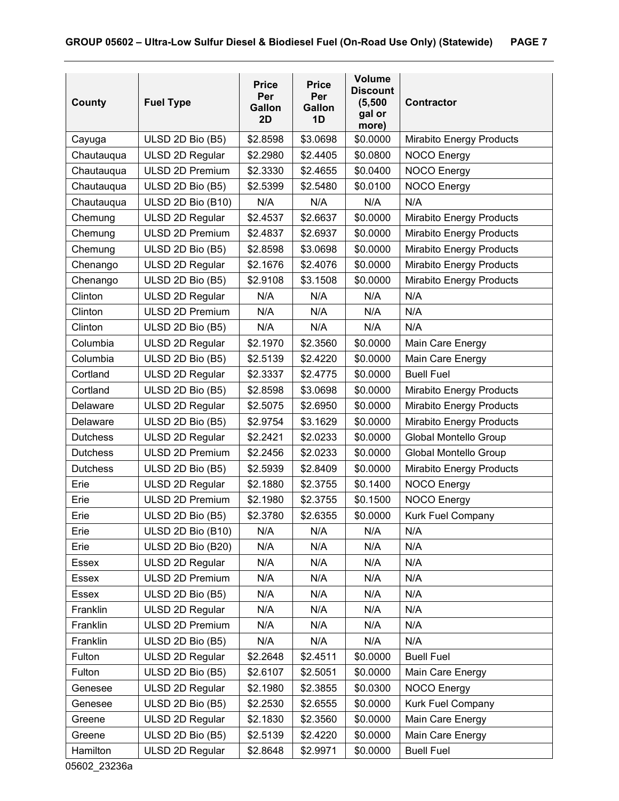| County          | <b>Fuel Type</b>       | <b>Price</b><br>Per<br><b>Gallon</b><br>2D | <b>Price</b><br>Per<br><b>Gallon</b><br>1D | <b>Volume</b><br><b>Discount</b><br>(5,500)<br>gal or<br>more) | <b>Contractor</b>               |
|-----------------|------------------------|--------------------------------------------|--------------------------------------------|----------------------------------------------------------------|---------------------------------|
| Cayuga          | ULSD 2D Bio (B5)       | \$2.8598                                   | \$3.0698                                   | \$0.0000                                                       | <b>Mirabito Energy Products</b> |
| Chautauqua      | ULSD 2D Regular        | \$2.2980                                   | \$2.4405                                   | \$0.0800                                                       | <b>NOCO Energy</b>              |
| Chautauqua      | <b>ULSD 2D Premium</b> | \$2.3330                                   | \$2.4655                                   | \$0.0400                                                       | NOCO Energy                     |
| Chautauqua      | ULSD 2D Bio (B5)       | \$2.5399                                   | \$2.5480                                   | \$0.0100                                                       | <b>NOCO Energy</b>              |
| Chautauqua      | ULSD 2D Bio (B10)      | N/A                                        | N/A                                        | N/A                                                            | N/A                             |
| Chemung         | ULSD 2D Regular        | \$2.4537                                   | \$2.6637                                   | \$0.0000                                                       | <b>Mirabito Energy Products</b> |
| Chemung         | <b>ULSD 2D Premium</b> | \$2.4837                                   | \$2.6937                                   | \$0.0000                                                       | Mirabito Energy Products        |
| Chemung         | ULSD 2D Bio (B5)       | \$2.8598                                   | \$3.0698                                   | \$0.0000                                                       | <b>Mirabito Energy Products</b> |
| Chenango        | ULSD 2D Regular        | \$2.1676                                   | \$2.4076                                   | \$0.0000                                                       | <b>Mirabito Energy Products</b> |
| Chenango        | ULSD 2D Bio (B5)       | \$2.9108                                   | \$3.1508                                   | \$0.0000                                                       | <b>Mirabito Energy Products</b> |
| Clinton         | ULSD 2D Regular        | N/A                                        | N/A                                        | N/A                                                            | N/A                             |
| Clinton         | <b>ULSD 2D Premium</b> | N/A                                        | N/A                                        | N/A                                                            | N/A                             |
| Clinton         | ULSD 2D Bio (B5)       | N/A                                        | N/A                                        | N/A                                                            | N/A                             |
| Columbia        | ULSD 2D Regular        | \$2.1970                                   | \$2.3560                                   | \$0.0000                                                       | Main Care Energy                |
| Columbia        | ULSD 2D Bio (B5)       | \$2.5139                                   | \$2.4220                                   | \$0.0000                                                       | Main Care Energy                |
| Cortland        | ULSD 2D Regular        | \$2.3337                                   | \$2.4775                                   | \$0.0000                                                       | <b>Buell Fuel</b>               |
| Cortland        | ULSD 2D Bio (B5)       | \$2.8598                                   | \$3.0698                                   | \$0.0000                                                       | <b>Mirabito Energy Products</b> |
| Delaware        | ULSD 2D Regular        | \$2.5075                                   | \$2.6950                                   | \$0.0000                                                       | <b>Mirabito Energy Products</b> |
| Delaware        | ULSD 2D Bio (B5)       | \$2.9754                                   | \$3.1629                                   | \$0.0000                                                       | <b>Mirabito Energy Products</b> |
| <b>Dutchess</b> | ULSD 2D Regular        | \$2.2421                                   | \$2.0233                                   | \$0.0000                                                       | Global Montello Group           |
| <b>Dutchess</b> | <b>ULSD 2D Premium</b> | \$2.2456                                   | \$2.0233                                   | \$0.0000                                                       | Global Montello Group           |
| <b>Dutchess</b> | ULSD 2D Bio (B5)       | \$2.5939                                   | \$2.8409                                   | \$0.0000                                                       | <b>Mirabito Energy Products</b> |
| Erie            | ULSD 2D Regular        | \$2.1880                                   | \$2.3755                                   | \$0.1400                                                       | <b>NOCO Energy</b>              |
| Erie            | <b>ULSD 2D Premium</b> | \$2.1980                                   | \$2.3755                                   | \$0.1500                                                       | <b>NOCO Energy</b>              |
| Erie            | ULSD 2D Bio (B5)       | \$2.3780                                   | \$2.6355                                   | \$0.0000                                                       | <b>Kurk Fuel Company</b>        |
| Erie            | ULSD 2D Bio (B10)      | N/A                                        | N/A                                        | N/A                                                            | N/A                             |
| Erie            | ULSD 2D Bio (B20)      | N/A                                        | N/A                                        | N/A                                                            | N/A                             |
| Essex           | ULSD 2D Regular        | N/A                                        | N/A                                        | N/A                                                            | N/A                             |
| Essex           | <b>ULSD 2D Premium</b> | N/A                                        | N/A                                        | N/A                                                            | N/A                             |
| Essex           | ULSD 2D Bio (B5)       | N/A                                        | N/A                                        | N/A                                                            | N/A                             |
| Franklin        | ULSD 2D Regular        | N/A                                        | N/A                                        | N/A                                                            | N/A                             |
| Franklin        | <b>ULSD 2D Premium</b> | N/A                                        | N/A                                        | N/A                                                            | N/A                             |
| Franklin        | ULSD 2D Bio (B5)       | N/A                                        | N/A                                        | N/A                                                            | N/A                             |
| Fulton          | ULSD 2D Regular        | \$2.2648                                   | \$2.4511                                   | \$0.0000                                                       | <b>Buell Fuel</b>               |
| Fulton          | ULSD 2D Bio (B5)       | \$2.6107                                   | \$2.5051                                   | \$0.0000                                                       | Main Care Energy                |
| Genesee         | ULSD 2D Regular        | \$2.1980                                   | \$2.3855                                   | \$0.0300                                                       | <b>NOCO Energy</b>              |
| Genesee         | ULSD 2D Bio (B5)       | \$2.2530                                   | \$2.6555                                   | \$0.0000                                                       | Kurk Fuel Company               |
| Greene          | ULSD 2D Regular        | \$2.1830                                   | \$2.3560                                   | \$0.0000                                                       | Main Care Energy                |
| Greene          | ULSD 2D Bio (B5)       | \$2.5139                                   | \$2.4220                                   | \$0.0000                                                       | Main Care Energy                |
| Hamilton        | ULSD 2D Regular        | \$2.8648                                   | \$2.9971                                   | \$0.0000                                                       | <b>Buell Fuel</b>               |

05602\_23236a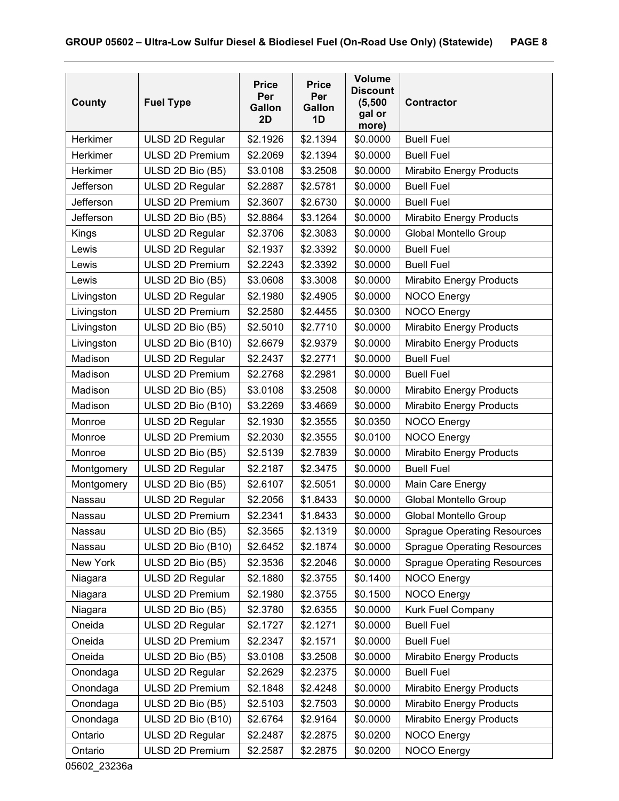| County     | <b>Fuel Type</b>       | <b>Price</b><br>Per<br><b>Gallon</b><br>2D | <b>Price</b><br>Per<br><b>Gallon</b><br>1D | <b>Volume</b><br><b>Discount</b><br>(5,500)<br>gal or<br>more) | <b>Contractor</b>                  |
|------------|------------------------|--------------------------------------------|--------------------------------------------|----------------------------------------------------------------|------------------------------------|
| Herkimer   | ULSD 2D Regular        | \$2.1926                                   | \$2.1394                                   | \$0.0000                                                       | <b>Buell Fuel</b>                  |
| Herkimer   | <b>ULSD 2D Premium</b> | \$2.2069                                   | \$2.1394                                   | \$0.0000                                                       | <b>Buell Fuel</b>                  |
| Herkimer   | ULSD 2D Bio (B5)       | \$3.0108                                   | \$3.2508                                   | \$0.0000                                                       | <b>Mirabito Energy Products</b>    |
| Jefferson  | ULSD 2D Regular        | \$2.2887                                   | \$2.5781                                   | \$0.0000                                                       | <b>Buell Fuel</b>                  |
| Jefferson  | <b>ULSD 2D Premium</b> | \$2.3607                                   | \$2.6730                                   | \$0.0000                                                       | <b>Buell Fuel</b>                  |
| Jefferson  | ULSD 2D Bio (B5)       | \$2.8864                                   | \$3.1264                                   | \$0.0000                                                       | <b>Mirabito Energy Products</b>    |
| Kings      | ULSD 2D Regular        | \$2.3706                                   | \$2.3083                                   | \$0.0000                                                       | Global Montello Group              |
| Lewis      | ULSD 2D Regular        | \$2.1937                                   | \$2.3392                                   | \$0.0000                                                       | <b>Buell Fuel</b>                  |
| Lewis      | <b>ULSD 2D Premium</b> | \$2.2243                                   | \$2.3392                                   | \$0.0000                                                       | <b>Buell Fuel</b>                  |
| Lewis      | ULSD 2D Bio (B5)       | \$3.0608                                   | \$3.3008                                   | \$0.0000                                                       | <b>Mirabito Energy Products</b>    |
| Livingston | ULSD 2D Regular        | \$2.1980                                   | \$2.4905                                   | \$0.0000                                                       | <b>NOCO Energy</b>                 |
| Livingston | <b>ULSD 2D Premium</b> | \$2.2580                                   | \$2.4455                                   | \$0.0300                                                       | <b>NOCO Energy</b>                 |
| Livingston | ULSD 2D Bio (B5)       | \$2.5010                                   | \$2.7710                                   | \$0.0000                                                       | Mirabito Energy Products           |
| Livingston | ULSD 2D Bio (B10)      | \$2.6679                                   | \$2.9379                                   | \$0.0000                                                       | <b>Mirabito Energy Products</b>    |
| Madison    | ULSD 2D Regular        | \$2.2437                                   | \$2.2771                                   | \$0.0000                                                       | <b>Buell Fuel</b>                  |
| Madison    | <b>ULSD 2D Premium</b> | \$2.2768                                   | \$2.2981                                   | \$0.0000                                                       | <b>Buell Fuel</b>                  |
| Madison    | ULSD 2D Bio (B5)       | \$3.0108                                   | \$3.2508                                   | \$0.0000                                                       | <b>Mirabito Energy Products</b>    |
| Madison    | ULSD 2D Bio (B10)      | \$3.2269                                   | \$3.4669                                   | \$0.0000                                                       | <b>Mirabito Energy Products</b>    |
| Monroe     | ULSD 2D Regular        | \$2.1930                                   | \$2.3555                                   | \$0.0350                                                       | NOCO Energy                        |
| Monroe     | <b>ULSD 2D Premium</b> | \$2.2030                                   | \$2.3555                                   | \$0.0100                                                       | <b>NOCO Energy</b>                 |
| Monroe     | ULSD 2D Bio (B5)       | \$2.5139                                   | \$2.7839                                   | \$0.0000                                                       | Mirabito Energy Products           |
| Montgomery | ULSD 2D Regular        | \$2.2187                                   | \$2.3475                                   | \$0.0000                                                       | <b>Buell Fuel</b>                  |
| Montgomery | ULSD 2D Bio (B5)       | \$2.6107                                   | \$2.5051                                   | \$0.0000                                                       | Main Care Energy                   |
| Nassau     | ULSD 2D Regular        | \$2.2056                                   | \$1.8433                                   | \$0.0000                                                       | Global Montello Group              |
| Nassau     | <b>ULSD 2D Premium</b> | \$2.2341                                   | \$1.8433                                   | \$0.0000                                                       | Global Montello Group              |
| Nassau     | ULSD 2D Bio (B5)       | \$2.3565                                   | \$2.1319                                   | \$0.0000                                                       | <b>Sprague Operating Resources</b> |
| Nassau     | ULSD 2D Bio (B10)      | \$2.6452                                   | \$2.1874                                   | \$0.0000                                                       | <b>Sprague Operating Resources</b> |
| New York   | ULSD 2D Bio (B5)       | \$2.3536                                   | \$2.2046                                   | \$0.0000                                                       | <b>Sprague Operating Resources</b> |
| Niagara    | ULSD 2D Regular        | \$2.1880                                   | \$2.3755                                   | \$0.1400                                                       | <b>NOCO Energy</b>                 |
| Niagara    | <b>ULSD 2D Premium</b> | \$2.1980                                   | \$2.3755                                   | \$0.1500                                                       | <b>NOCO Energy</b>                 |
| Niagara    | ULSD 2D Bio (B5)       | \$2.3780                                   | \$2.6355                                   | \$0.0000                                                       | Kurk Fuel Company                  |
| Oneida     | ULSD 2D Regular        | \$2.1727                                   | \$2.1271                                   | \$0.0000                                                       | <b>Buell Fuel</b>                  |
| Oneida     | <b>ULSD 2D Premium</b> | \$2.2347                                   | \$2.1571                                   | \$0.0000                                                       | <b>Buell Fuel</b>                  |
| Oneida     | ULSD 2D Bio (B5)       | \$3.0108                                   | \$3.2508                                   | \$0.0000                                                       | <b>Mirabito Energy Products</b>    |
| Onondaga   | ULSD 2D Regular        | \$2.2629                                   | \$2.2375                                   | \$0.0000                                                       | <b>Buell Fuel</b>                  |
| Onondaga   | <b>ULSD 2D Premium</b> | \$2.1848                                   | \$2.4248                                   | \$0.0000                                                       | Mirabito Energy Products           |
| Onondaga   | ULSD 2D Bio (B5)       | \$2.5103                                   | \$2.7503                                   | \$0.0000                                                       | Mirabito Energy Products           |
| Onondaga   | ULSD 2D Bio (B10)      | \$2.6764                                   | \$2.9164                                   | \$0.0000                                                       | Mirabito Energy Products           |
| Ontario    | ULSD 2D Regular        | \$2.2487                                   | \$2.2875                                   | \$0.0200                                                       | <b>NOCO Energy</b>                 |
| Ontario    | ULSD 2D Premium        | \$2.2587                                   | \$2.2875                                   | \$0.0200                                                       | <b>NOCO Energy</b>                 |

05602\_23236a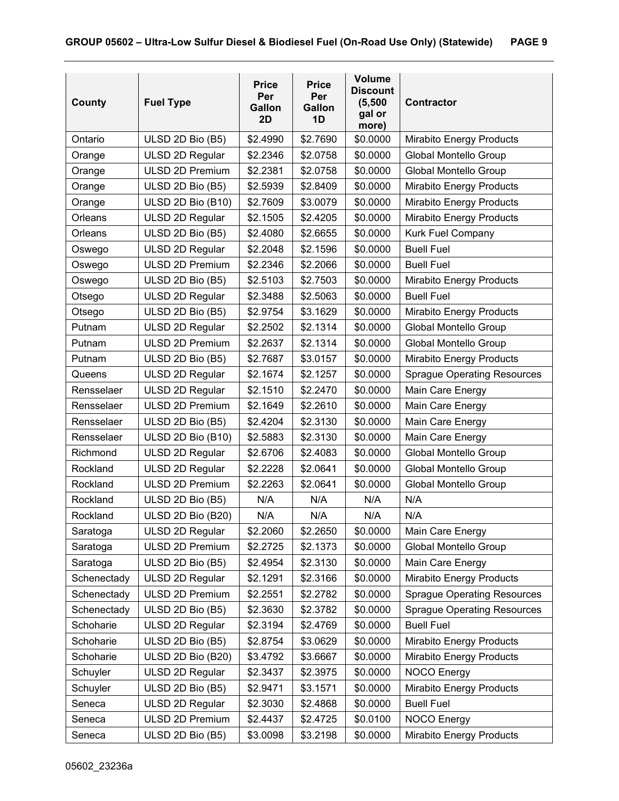| County      | <b>Fuel Type</b>       | <b>Price</b><br>Per<br><b>Gallon</b><br>2D | <b>Price</b><br>Per<br><b>Gallon</b><br>1D | <b>Volume</b><br><b>Discount</b><br>(5,500)<br>gal or<br>more) | <b>Contractor</b>                  |
|-------------|------------------------|--------------------------------------------|--------------------------------------------|----------------------------------------------------------------|------------------------------------|
| Ontario     | ULSD 2D Bio (B5)       | \$2.4990                                   | \$2.7690                                   | \$0.0000                                                       | Mirabito Energy Products           |
| Orange      | ULSD 2D Regular        | \$2.2346                                   | \$2.0758                                   | \$0.0000                                                       | Global Montello Group              |
| Orange      | <b>ULSD 2D Premium</b> | \$2.2381                                   | \$2.0758                                   | \$0.0000                                                       | Global Montello Group              |
| Orange      | ULSD 2D Bio (B5)       | \$2.5939                                   | \$2.8409                                   | \$0.0000                                                       | <b>Mirabito Energy Products</b>    |
| Orange      | ULSD 2D Bio (B10)      | \$2.7609                                   | \$3.0079                                   | \$0.0000                                                       | Mirabito Energy Products           |
| Orleans     | ULSD 2D Regular        | \$2.1505                                   | \$2.4205                                   | \$0.0000                                                       | <b>Mirabito Energy Products</b>    |
| Orleans     | ULSD 2D Bio (B5)       | \$2.4080                                   | \$2.6655                                   | \$0.0000                                                       | <b>Kurk Fuel Company</b>           |
| Oswego      | ULSD 2D Regular        | \$2.2048                                   | \$2.1596                                   | \$0.0000                                                       | <b>Buell Fuel</b>                  |
| Oswego      | <b>ULSD 2D Premium</b> | \$2.2346                                   | \$2.2066                                   | \$0.0000                                                       | <b>Buell Fuel</b>                  |
| Oswego      | ULSD 2D Bio (B5)       | \$2.5103                                   | \$2.7503                                   | \$0.0000                                                       | Mirabito Energy Products           |
| Otsego      | ULSD 2D Regular        | \$2.3488                                   | \$2.5063                                   | \$0.0000                                                       | <b>Buell Fuel</b>                  |
| Otsego      | ULSD 2D Bio (B5)       | \$2.9754                                   | \$3.1629                                   | \$0.0000                                                       | <b>Mirabito Energy Products</b>    |
| Putnam      | ULSD 2D Regular        | \$2.2502                                   | \$2.1314                                   | \$0.0000                                                       | Global Montello Group              |
| Putnam      | <b>ULSD 2D Premium</b> | \$2.2637                                   | \$2.1314                                   | \$0.0000                                                       | Global Montello Group              |
| Putnam      | ULSD 2D Bio (B5)       | \$2.7687                                   | \$3.0157                                   | \$0.0000                                                       | <b>Mirabito Energy Products</b>    |
| Queens      | ULSD 2D Regular        | \$2.1674                                   | \$2.1257                                   | \$0.0000                                                       | <b>Sprague Operating Resources</b> |
| Rensselaer  | ULSD 2D Regular        | \$2.1510                                   | \$2.2470                                   | \$0.0000                                                       | Main Care Energy                   |
| Rensselaer  | <b>ULSD 2D Premium</b> | \$2.1649                                   | \$2.2610                                   | \$0.0000                                                       | Main Care Energy                   |
| Rensselaer  | ULSD 2D Bio (B5)       | \$2.4204                                   | \$2.3130                                   | \$0.0000                                                       | Main Care Energy                   |
| Rensselaer  | ULSD 2D Bio (B10)      | \$2.5883                                   | \$2.3130                                   | \$0.0000                                                       | Main Care Energy                   |
| Richmond    | ULSD 2D Regular        | \$2.6706                                   | \$2.4083                                   | \$0.0000                                                       | Global Montello Group              |
| Rockland    | ULSD 2D Regular        | \$2.2228                                   | \$2.0641                                   | \$0.0000                                                       | Global Montello Group              |
| Rockland    | <b>ULSD 2D Premium</b> | \$2.2263                                   | \$2.0641                                   | \$0.0000                                                       | Global Montello Group              |
| Rockland    | ULSD 2D Bio (B5)       | N/A                                        | N/A                                        | N/A                                                            | N/A                                |
| Rockland    | ULSD 2D Bio (B20)      | N/A                                        | N/A                                        | N/A                                                            | N/A                                |
| Saratoga    | ULSD 2D Regular        | \$2.2060                                   | \$2.2650                                   | \$0.0000                                                       | Main Care Energy                   |
| Saratoga    | <b>ULSD 2D Premium</b> | \$2.2725                                   | \$2.1373                                   | \$0.0000                                                       | <b>Global Montello Group</b>       |
| Saratoga    | ULSD 2D Bio (B5)       | \$2.4954                                   | \$2.3130                                   | \$0.0000                                                       | Main Care Energy                   |
| Schenectady | ULSD 2D Regular        | \$2.1291                                   | \$2.3166                                   | \$0.0000                                                       | Mirabito Energy Products           |
| Schenectady | <b>ULSD 2D Premium</b> | \$2.2551                                   | \$2.2782                                   | \$0.0000                                                       | <b>Sprague Operating Resources</b> |
| Schenectady | ULSD 2D Bio (B5)       | \$2.3630                                   | \$2.3782                                   | \$0.0000                                                       | <b>Sprague Operating Resources</b> |
| Schoharie   | ULSD 2D Regular        | \$2.3194                                   | \$2.4769                                   | \$0.0000                                                       | <b>Buell Fuel</b>                  |
| Schoharie   | ULSD 2D Bio (B5)       | \$2.8754                                   | \$3.0629                                   | \$0.0000                                                       | <b>Mirabito Energy Products</b>    |
| Schoharie   | ULSD 2D Bio (B20)      | \$3.4792                                   | \$3.6667                                   | \$0.0000                                                       | <b>Mirabito Energy Products</b>    |
| Schuyler    | ULSD 2D Regular        | \$2.3437                                   | \$2.3975                                   | \$0.0000                                                       | <b>NOCO Energy</b>                 |
| Schuyler    | ULSD 2D Bio (B5)       | \$2.9471                                   | \$3.1571                                   | \$0.0000                                                       | <b>Mirabito Energy Products</b>    |
| Seneca      | ULSD 2D Regular        | \$2.3030                                   | \$2.4868                                   | \$0.0000                                                       | <b>Buell Fuel</b>                  |
| Seneca      | <b>ULSD 2D Premium</b> | \$2.4437                                   | \$2.4725                                   | \$0.0100                                                       | NOCO Energy                        |
| Seneca      | ULSD 2D Bio (B5)       | \$3.0098                                   | \$3.2198                                   | \$0.0000                                                       | <b>Mirabito Energy Products</b>    |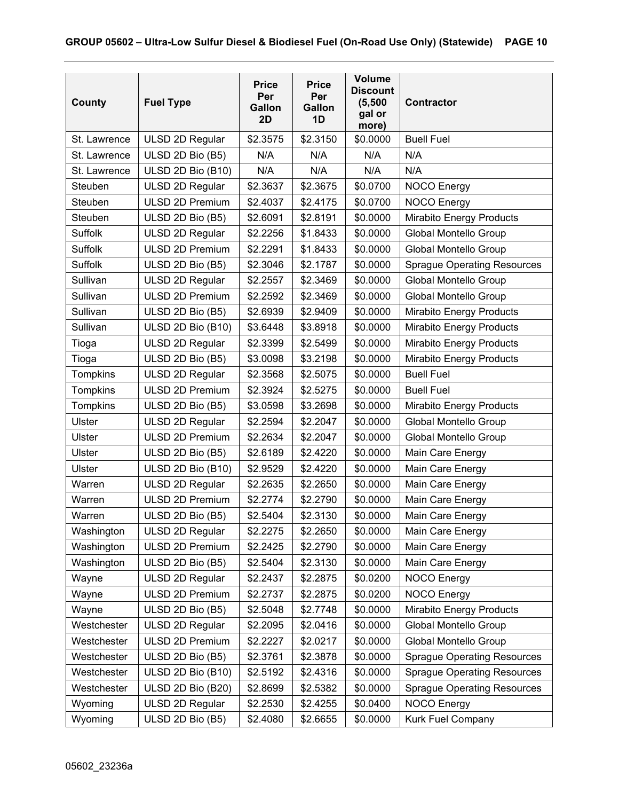| County       | <b>Fuel Type</b>       | <b>Price</b><br>Per<br>Gallon<br>2D | <b>Price</b><br>Per<br>Gallon<br>1D | <b>Volume</b><br><b>Discount</b><br>(5,500)<br>gal or<br>more) | <b>Contractor</b>                  |
|--------------|------------------------|-------------------------------------|-------------------------------------|----------------------------------------------------------------|------------------------------------|
| St. Lawrence | ULSD 2D Regular        | \$2.3575                            | \$2.3150                            | \$0.0000                                                       | <b>Buell Fuel</b>                  |
| St. Lawrence | ULSD 2D Bio (B5)       | N/A                                 | N/A                                 | N/A                                                            | N/A                                |
| St. Lawrence | ULSD 2D Bio (B10)      | N/A                                 | N/A                                 | N/A                                                            | N/A                                |
| Steuben      | ULSD 2D Regular        | \$2.3637                            | \$2.3675                            | \$0.0700                                                       | <b>NOCO Energy</b>                 |
| Steuben      | <b>ULSD 2D Premium</b> | \$2.4037                            | \$2.4175                            | \$0.0700                                                       | <b>NOCO Energy</b>                 |
| Steuben      | ULSD 2D Bio (B5)       | \$2.6091                            | \$2.8191                            | \$0.0000                                                       | <b>Mirabito Energy Products</b>    |
| Suffolk      | ULSD 2D Regular        | \$2.2256                            | \$1.8433                            | \$0.0000                                                       | Global Montello Group              |
| Suffolk      | <b>ULSD 2D Premium</b> | \$2.2291                            | \$1.8433                            | \$0.0000                                                       | Global Montello Group              |
| Suffolk      | ULSD 2D Bio (B5)       | \$2.3046                            | \$2.1787                            | \$0.0000                                                       | <b>Sprague Operating Resources</b> |
| Sullivan     | ULSD 2D Regular        | \$2.2557                            | \$2.3469                            | \$0.0000                                                       | Global Montello Group              |
| Sullivan     | <b>ULSD 2D Premium</b> | \$2.2592                            | \$2.3469                            | \$0.0000                                                       | Global Montello Group              |
| Sullivan     | ULSD 2D Bio (B5)       | \$2.6939                            | \$2.9409                            | \$0.0000                                                       | <b>Mirabito Energy Products</b>    |
| Sullivan     | ULSD 2D Bio (B10)      | \$3.6448                            | \$3.8918                            | \$0.0000                                                       | <b>Mirabito Energy Products</b>    |
| Tioga        | ULSD 2D Regular        | \$2.3399                            | \$2.5499                            | \$0.0000                                                       | <b>Mirabito Energy Products</b>    |
| Tioga        | ULSD 2D Bio (B5)       | \$3.0098                            | \$3.2198                            | \$0.0000                                                       | <b>Mirabito Energy Products</b>    |
| Tompkins     | ULSD 2D Regular        | \$2.3568                            | \$2.5075                            | \$0.0000                                                       | <b>Buell Fuel</b>                  |
| Tompkins     | <b>ULSD 2D Premium</b> | \$2.3924                            | \$2.5275                            | \$0.0000                                                       | <b>Buell Fuel</b>                  |
| Tompkins     | ULSD 2D Bio (B5)       | \$3.0598                            | \$3.2698                            | \$0.0000                                                       | <b>Mirabito Energy Products</b>    |
| Ulster       | ULSD 2D Regular        | \$2.2594                            | \$2.2047                            | \$0.0000                                                       | Global Montello Group              |
| Ulster       | <b>ULSD 2D Premium</b> | \$2.2634                            | \$2.2047                            | \$0.0000                                                       | Global Montello Group              |
| Ulster       | ULSD 2D Bio (B5)       | \$2.6189                            | \$2.4220                            | \$0.0000                                                       | Main Care Energy                   |
| Ulster       | ULSD 2D Bio (B10)      | \$2.9529                            | \$2.4220                            | \$0.0000                                                       | Main Care Energy                   |
| Warren       | ULSD 2D Regular        | \$2.2635                            | \$2.2650                            | \$0.0000                                                       | Main Care Energy                   |
| Warren       | <b>ULSD 2D Premium</b> | \$2.2774                            | \$2.2790                            | \$0.0000                                                       | Main Care Energy                   |
| Warren       | ULSD 2D Bio (B5)       | \$2.5404                            | \$2.3130                            | \$0.0000                                                       | Main Care Energy                   |
| Washington   | ULSD 2D Regular        | \$2.2275                            | \$2.2650                            | \$0.0000                                                       | Main Care Energy                   |
| Washington   | <b>ULSD 2D Premium</b> | \$2.2425                            | \$2.2790                            | \$0.0000                                                       | Main Care Energy                   |
| Washington   | ULSD 2D Bio (B5)       | \$2.5404                            | \$2.3130                            | \$0.0000                                                       | Main Care Energy                   |
| Wayne        | ULSD 2D Regular        | \$2.2437                            | \$2.2875                            | \$0.0200                                                       | <b>NOCO Energy</b>                 |
| Wayne        | <b>ULSD 2D Premium</b> | \$2.2737                            | \$2.2875                            | \$0.0200                                                       | <b>NOCO Energy</b>                 |
| Wayne        | ULSD 2D Bio (B5)       | \$2.5048                            | \$2.7748                            | \$0.0000                                                       | <b>Mirabito Energy Products</b>    |
| Westchester  | ULSD 2D Regular        | \$2.2095                            | \$2.0416                            | \$0.0000                                                       | <b>Global Montello Group</b>       |
| Westchester  | <b>ULSD 2D Premium</b> | \$2.2227                            | \$2.0217                            | \$0.0000                                                       | Global Montello Group              |
| Westchester  | ULSD 2D Bio (B5)       | \$2.3761                            | \$2.3878                            | \$0.0000                                                       | <b>Sprague Operating Resources</b> |
| Westchester  | ULSD 2D Bio (B10)      | \$2.5192                            | \$2.4316                            | \$0.0000                                                       | <b>Sprague Operating Resources</b> |
| Westchester  | ULSD 2D Bio (B20)      | \$2.8699                            | \$2.5382                            | \$0.0000                                                       | <b>Sprague Operating Resources</b> |
| Wyoming      | ULSD 2D Regular        | \$2.2530                            | \$2.4255                            | \$0.0400                                                       | <b>NOCO Energy</b>                 |
| Wyoming      | ULSD 2D Bio (B5)       | \$2.4080                            | \$2.6655                            | \$0.0000                                                       | Kurk Fuel Company                  |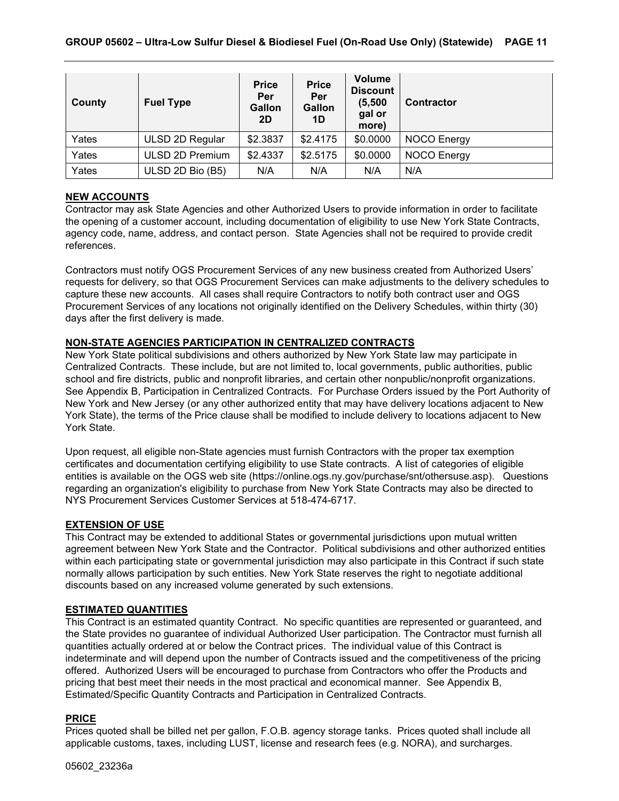| County | <b>Fuel Type</b>       | <b>Price</b><br>Per<br>Gallon<br>2D | <b>Price</b><br>Per<br><b>Gallon</b><br>1D | <b>Volume</b><br><b>Discount</b><br>(5,500)<br>gal or<br>more) | <b>Contractor</b>  |
|--------|------------------------|-------------------------------------|--------------------------------------------|----------------------------------------------------------------|--------------------|
| Yates  | ULSD 2D Regular        | \$2.3837                            | \$2.4175                                   | \$0.0000                                                       | <b>NOCO Energy</b> |
| Yates  | <b>ULSD 2D Premium</b> | \$2.4337                            | \$2.5175                                   | \$0.0000                                                       | NOCO Energy        |
| Yates  | ULSD 2D Bio (B5)       | N/A                                 | N/A                                        | N/A                                                            | N/A                |

## **NEW ACCOUNTS**

Contractor may ask State Agencies and other Authorized Users to provide information in order to facilitate the opening of a customer account, including documentation of eligibility to use New York State Contracts, agency code, name, address, and contact person. State Agencies shall not be required to provide credit references.

Contractors must notify OGS Procurement Services of any new business created from Authorized Users' requests for delivery, so that OGS Procurement Services can make adjustments to the delivery schedules to capture these new accounts. All cases shall require Contractors to notify both contract user and OGS Procurement Services of any locations not originally identified on the Delivery Schedules, within thirty (30) days after the first delivery is made.

## **NON-STATE AGENCIES PARTICIPATION IN CENTRALIZED CONTRACTS**

New York State political subdivisions and others authorized by New York State law may participate in Centralized Contracts. These include, but are not limited to, local governments, public authorities, public school and fire districts, public and nonprofit libraries, and certain other nonpublic/nonprofit organizations. See Appendix B, Participation in Centralized Contracts. For Purchase Orders issued by the Port Authority of New York and New Jersey (or any other authorized entity that may have delivery locations adjacent to New York State), the terms of the Price clause shall be modified to include delivery to locations adjacent to New York State.

Upon request, all eligible non-State agencies must furnish Contractors with the proper tax exemption certificates and documentation certifying eligibility to use State contracts. A list of categories of eligible entities is available on the OGS web site (https://online.ogs.ny.gov/purchase/snt/othersuse.asp). Questions regarding an organization's eligibility to purchase from New York State Contracts may also be directed to NYS Procurement Services Customer Services at 518-474-6717.

## **EXTENSION OF USE**

This Contract may be extended to additional States or governmental jurisdictions upon mutual written agreement between New York State and the Contractor. Political subdivisions and other authorized entities within each participating state or governmental jurisdiction may also participate in this Contract if such state normally allows participation by such entities. New York State reserves the right to negotiate additional discounts based on any increased volume generated by such extensions.

## **ESTIMATED QUANTITIES**

This Contract is an estimated quantity Contract. No specific quantities are represented or guaranteed, and the State provides no guarantee of individual Authorized User participation. The Contractor must furnish all quantities actually ordered at or below the Contract prices. The individual value of this Contract is indeterminate and will depend upon the number of Contracts issued and the competitiveness of the pricing offered. Authorized Users will be encouraged to purchase from Contractors who offer the Products and pricing that best meet their needs in the most practical and economical manner. See Appendix B, Estimated/Specific Quantity Contracts and Participation in Centralized Contracts.

## **PRICE**

Prices quoted shall be billed net per gallon, F.O.B. agency storage tanks. Prices quoted shall include all applicable customs, taxes, including LUST, license and research fees (e.g. NORA), and surcharges.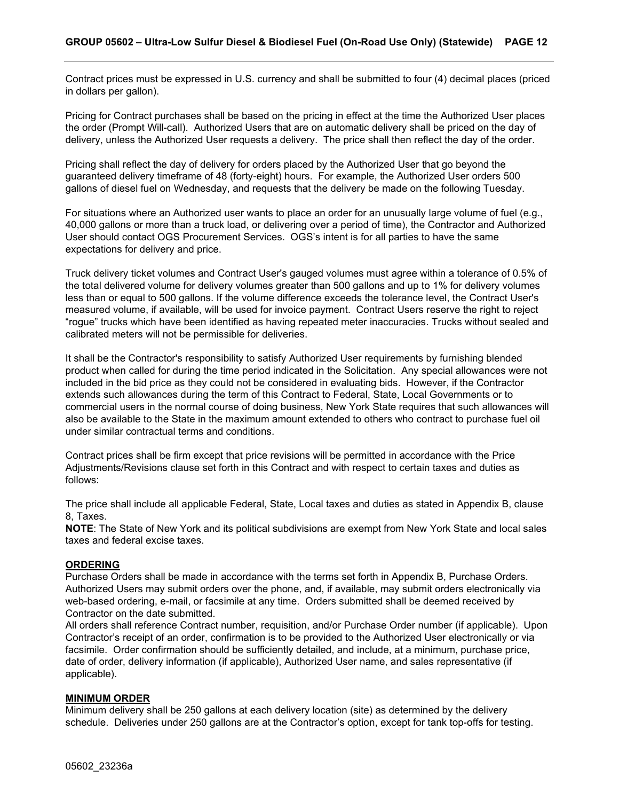Contract prices must be expressed in U.S. currency and shall be submitted to four (4) decimal places (priced in dollars per gallon).

Pricing for Contract purchases shall be based on the pricing in effect at the time the Authorized User places the order (Prompt Will-call). Authorized Users that are on automatic delivery shall be priced on the day of delivery, unless the Authorized User requests a delivery. The price shall then reflect the day of the order.

Pricing shall reflect the day of delivery for orders placed by the Authorized User that go beyond the guaranteed delivery timeframe of 48 (forty-eight) hours. For example, the Authorized User orders 500 gallons of diesel fuel on Wednesday, and requests that the delivery be made on the following Tuesday.

For situations where an Authorized user wants to place an order for an unusually large volume of fuel (e.g., 40,000 gallons or more than a truck load, or delivering over a period of time), the Contractor and Authorized User should contact OGS Procurement Services. OGS's intent is for all parties to have the same expectations for delivery and price.

Truck delivery ticket volumes and Contract User's gauged volumes must agree within a tolerance of 0.5% of the total delivered volume for delivery volumes greater than 500 gallons and up to 1% for delivery volumes less than or equal to 500 gallons. If the volume difference exceeds the tolerance level, the Contract User's measured volume, if available, will be used for invoice payment. Contract Users reserve the right to reject "rogue" trucks which have been identified as having repeated meter inaccuracies. Trucks without sealed and calibrated meters will not be permissible for deliveries.

It shall be the Contractor's responsibility to satisfy Authorized User requirements by furnishing blended product when called for during the time period indicated in the Solicitation. Any special allowances were not included in the bid price as they could not be considered in evaluating bids. However, if the Contractor extends such allowances during the term of this Contract to Federal, State, Local Governments or to commercial users in the normal course of doing business, New York State requires that such allowances will also be available to the State in the maximum amount extended to others who contract to purchase fuel oil under similar contractual terms and conditions.

Contract prices shall be firm except that price revisions will be permitted in accordance with the Price Adjustments/Revisions clause set forth in this Contract and with respect to certain taxes and duties as follows:

The price shall include all applicable Federal, State, Local taxes and duties as stated in Appendix B, clause 8, Taxes.

**NOTE**: The State of New York and its political subdivisions are exempt from New York State and local sales taxes and federal excise taxes.

#### **ORDERING**

Purchase Orders shall be made in accordance with the terms set forth in Appendix B, Purchase Orders. Authorized Users may submit orders over the phone, and, if available, may submit orders electronically via web-based ordering, e-mail, or facsimile at any time. Orders submitted shall be deemed received by Contractor on the date submitted.

All orders shall reference Contract number, requisition, and/or Purchase Order number (if applicable). Upon Contractor's receipt of an order, confirmation is to be provided to the Authorized User electronically or via facsimile. Order confirmation should be sufficiently detailed, and include, at a minimum, purchase price, date of order, delivery information (if applicable), Authorized User name, and sales representative (if applicable).

#### **MINIMUM ORDER**

Minimum delivery shall be 250 gallons at each delivery location (site) as determined by the delivery schedule. Deliveries under 250 gallons are at the Contractor's option, except for tank top-offs for testing.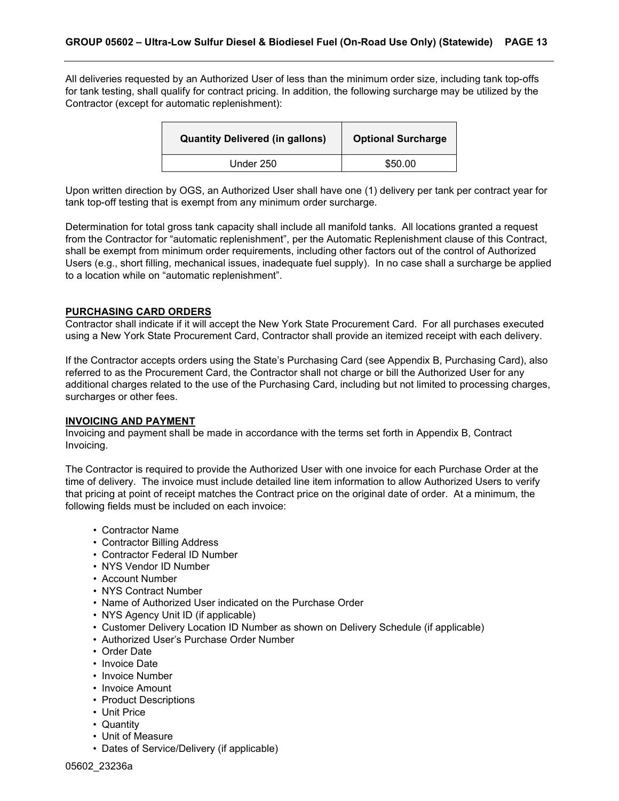All deliveries requested by an Authorized User of less than the minimum order size, including tank top-offs for tank testing, shall qualify for contract pricing. In addition, the following surcharge may be utilized by the Contractor (except for automatic replenishment):

| <b>Quantity Delivered (in gallons)</b> | <b>Optional Surcharge</b> |
|----------------------------------------|---------------------------|
| Under 250                              | \$50.00                   |

Upon written direction by OGS, an Authorized User shall have one (1) delivery per tank per contract year for tank top-off testing that is exempt from any minimum order surcharge.

Determination for total gross tank capacity shall include all manifold tanks. All locations granted a request from the Contractor for "automatic replenishment", per the Automatic Replenishment clause of this Contract, shall be exempt from minimum order requirements, including other factors out of the control of Authorized Users (e.g., short filling, mechanical issues, inadequate fuel supply). In no case shall a surcharge be applied to a location while on "automatic replenishment".

## **PURCHASING CARD ORDERS**

Contractor shall indicate if it will accept the New York State Procurement Card. For all purchases executed using a New York State Procurement Card, Contractor shall provide an itemized receipt with each delivery.

If the Contractor accepts orders using the State's Purchasing Card (see Appendix B, Purchasing Card), also referred to as the Procurement Card, the Contractor shall not charge or bill the Authorized User for any additional charges related to the use of the Purchasing Card, including but not limited to processing charges, surcharges or other fees.

#### **INVOICING AND PAYMENT**

Invoicing and payment shall be made in accordance with the terms set forth in Appendix B, Contract Invoicing.

The Contractor is required to provide the Authorized User with one invoice for each Purchase Order at the time of delivery. The invoice must include detailed line item information to allow Authorized Users to verify that pricing at point of receipt matches the Contract price on the original date of order. At a minimum, the following fields must be included on each invoice:

- Contractor Name
- Contractor Billing Address
- Contractor Federal ID Number
- NYS Vendor ID Number
- Account Number
- NYS Contract Number
- Name of Authorized User indicated on the Purchase Order
- NYS Agency Unit ID (if applicable)
- Customer Delivery Location ID Number as shown on Delivery Schedule (if applicable)
- Authorized User's Purchase Order Number
- Order Date
- Invoice Date
- Invoice Number
- Invoice Amount
- Product Descriptions
- Unit Price
- Quantity
- Unit of Measure
- Dates of Service/Delivery (if applicable)

05602\_23236a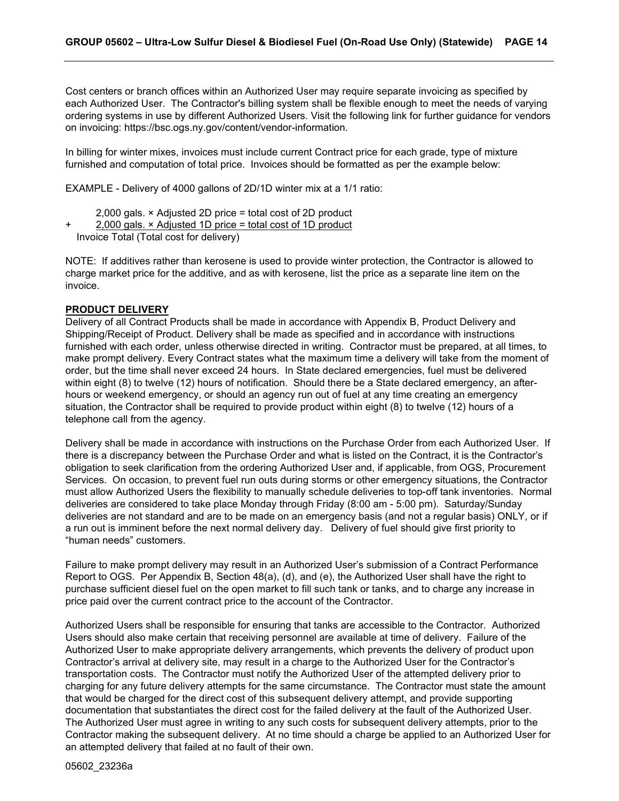Cost centers or branch offices within an Authorized User may require separate invoicing as specified by each Authorized User. The Contractor's billing system shall be flexible enough to meet the needs of varying ordering systems in use by different Authorized Users. Visit the following link for further guidance for vendors on invoicing: https://bsc.ogs.ny.gov/content/vendor-information.

In billing for winter mixes, invoices must include current Contract price for each grade, type of mixture furnished and computation of total price. Invoices should be formatted as per the example below:

EXAMPLE - Delivery of 4000 gallons of 2D/1D winter mix at a 1/1 ratio:

2,000 gals. × Adjusted 2D price = total cost of 2D product

+ 2,000 gals. × Adjusted 1D price = total cost of 1D product

Invoice Total (Total cost for delivery)

NOTE: If additives rather than kerosene is used to provide winter protection, the Contractor is allowed to charge market price for the additive, and as with kerosene, list the price as a separate line item on the invoice.

## **PRODUCT DELIVERY**

Delivery of all Contract Products shall be made in accordance with Appendix B, Product Delivery and Shipping/Receipt of Product. Delivery shall be made as specified and in accordance with instructions furnished with each order, unless otherwise directed in writing. Contractor must be prepared, at all times, to make prompt delivery. Every Contract states what the maximum time a delivery will take from the moment of order, but the time shall never exceed 24 hours. In State declared emergencies, fuel must be delivered within eight (8) to twelve (12) hours of notification. Should there be a State declared emergency, an afterhours or weekend emergency, or should an agency run out of fuel at any time creating an emergency situation, the Contractor shall be required to provide product within eight (8) to twelve (12) hours of a telephone call from the agency.

Delivery shall be made in accordance with instructions on the Purchase Order from each Authorized User. If there is a discrepancy between the Purchase Order and what is listed on the Contract, it is the Contractor's obligation to seek clarification from the ordering Authorized User and, if applicable, from OGS, Procurement Services. On occasion, to prevent fuel run outs during storms or other emergency situations, the Contractor must allow Authorized Users the flexibility to manually schedule deliveries to top-off tank inventories. Normal deliveries are considered to take place Monday through Friday (8:00 am - 5:00 pm). Saturday/Sunday deliveries are not standard and are to be made on an emergency basis (and not a regular basis) ONLY, or if a run out is imminent before the next normal delivery day. Delivery of fuel should give first priority to "human needs" customers.

Failure to make prompt delivery may result in an Authorized User's submission of a Contract Performance Report to OGS. Per Appendix B, Section 48(a), (d), and (e), the Authorized User shall have the right to purchase sufficient diesel fuel on the open market to fill such tank or tanks, and to charge any increase in price paid over the current contract price to the account of the Contractor.

Authorized Users shall be responsible for ensuring that tanks are accessible to the Contractor. Authorized Users should also make certain that receiving personnel are available at time of delivery. Failure of the Authorized User to make appropriate delivery arrangements, which prevents the delivery of product upon Contractor's arrival at delivery site, may result in a charge to the Authorized User for the Contractor's transportation costs. The Contractor must notify the Authorized User of the attempted delivery prior to charging for any future delivery attempts for the same circumstance. The Contractor must state the amount that would be charged for the direct cost of this subsequent delivery attempt, and provide supporting documentation that substantiates the direct cost for the failed delivery at the fault of the Authorized User. The Authorized User must agree in writing to any such costs for subsequent delivery attempts, prior to the Contractor making the subsequent delivery. At no time should a charge be applied to an Authorized User for an attempted delivery that failed at no fault of their own.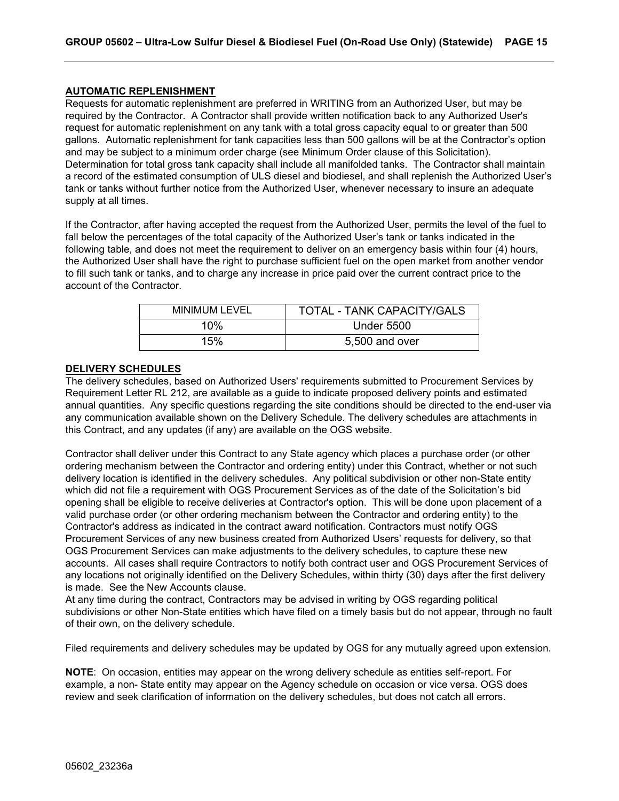## **AUTOMATIC REPLENISHMENT**

Requests for automatic replenishment are preferred in WRITING from an Authorized User, but may be required by the Contractor. A Contractor shall provide written notification back to any Authorized User's request for automatic replenishment on any tank with a total gross capacity equal to or greater than 500 gallons. Automatic replenishment for tank capacities less than 500 gallons will be at the Contractor's option and may be subject to a minimum order charge (see Minimum Order clause of this Solicitation). Determination for total gross tank capacity shall include all manifolded tanks. The Contractor shall maintain a record of the estimated consumption of ULS diesel and biodiesel, and shall replenish the Authorized User's tank or tanks without further notice from the Authorized User, whenever necessary to insure an adequate supply at all times.

If the Contractor, after having accepted the request from the Authorized User, permits the level of the fuel to fall below the percentages of the total capacity of the Authorized User's tank or tanks indicated in the following table, and does not meet the requirement to deliver on an emergency basis within four (4) hours, the Authorized User shall have the right to purchase sufficient fuel on the open market from another vendor to fill such tank or tanks, and to charge any increase in price paid over the current contract price to the account of the Contractor.

| <b>MINIMUM LEVEL</b> | TOTAL - TANK CAPACITY/GALS |
|----------------------|----------------------------|
| 10%                  | <b>Under 5500</b>          |
| 15%                  | 5,500 and over             |

## **DELIVERY SCHEDULES**

The delivery schedules, based on Authorized Users' requirements submitted to Procurement Services by Requirement Letter RL 212, are available as a guide to indicate proposed delivery points and estimated annual quantities. Any specific questions regarding the site conditions should be directed to the end-user via any communication available shown on the Delivery Schedule. The delivery schedules are attachments in this Contract, and any updates (if any) are available on the OGS website.

Contractor shall deliver under this Contract to any State agency which places a purchase order (or other ordering mechanism between the Contractor and ordering entity) under this Contract, whether or not such delivery location is identified in the delivery schedules. Any political subdivision or other non-State entity which did not file a requirement with OGS Procurement Services as of the date of the Solicitation's bid opening shall be eligible to receive deliveries at Contractor's option. This will be done upon placement of a valid purchase order (or other ordering mechanism between the Contractor and ordering entity) to the Contractor's address as indicated in the contract award notification. Contractors must notify OGS Procurement Services of any new business created from Authorized Users' requests for delivery, so that OGS Procurement Services can make adjustments to the delivery schedules, to capture these new accounts. All cases shall require Contractors to notify both contract user and OGS Procurement Services of any locations not originally identified on the Delivery Schedules, within thirty (30) days after the first delivery is made. See the New Accounts clause.

At any time during the contract, Contractors may be advised in writing by OGS regarding political subdivisions or other Non-State entities which have filed on a timely basis but do not appear, through no fault of their own, on the delivery schedule.

Filed requirements and delivery schedules may be updated by OGS for any mutually agreed upon extension.

**NOTE**: On occasion, entities may appear on the wrong delivery schedule as entities self-report. For example, a non- State entity may appear on the Agency schedule on occasion or vice versa. OGS does review and seek clarification of information on the delivery schedules, but does not catch all errors.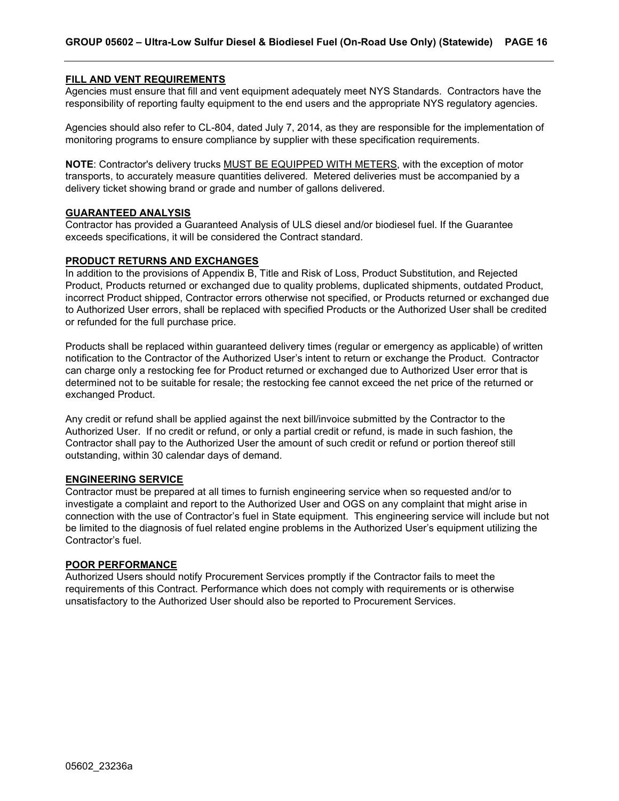#### **FILL AND VENT REQUIREMENTS**

Agencies must ensure that fill and vent equipment adequately meet NYS Standards. Contractors have the responsibility of reporting faulty equipment to the end users and the appropriate NYS regulatory agencies.

Agencies should also refer to CL-804, dated July 7, 2014, as they are responsible for the implementation of monitoring programs to ensure compliance by supplier with these specification requirements.

**NOTE**: Contractor's delivery trucks MUST BE EQUIPPED WITH METERS, with the exception of motor transports, to accurately measure quantities delivered. Metered deliveries must be accompanied by a delivery ticket showing brand or grade and number of gallons delivered.

#### **GUARANTEED ANALYSIS**

Contractor has provided a Guaranteed Analysis of ULS diesel and/or biodiesel fuel. If the Guarantee exceeds specifications, it will be considered the Contract standard.

#### **PRODUCT RETURNS AND EXCHANGES**

In addition to the provisions of Appendix B, Title and Risk of Loss, Product Substitution, and Rejected Product, Products returned or exchanged due to quality problems, duplicated shipments, outdated Product, incorrect Product shipped, Contractor errors otherwise not specified, or Products returned or exchanged due to Authorized User errors, shall be replaced with specified Products or the Authorized User shall be credited or refunded for the full purchase price.

Products shall be replaced within guaranteed delivery times (regular or emergency as applicable) of written notification to the Contractor of the Authorized User's intent to return or exchange the Product. Contractor can charge only a restocking fee for Product returned or exchanged due to Authorized User error that is determined not to be suitable for resale; the restocking fee cannot exceed the net price of the returned or exchanged Product.

Any credit or refund shall be applied against the next bill/invoice submitted by the Contractor to the Authorized User. If no credit or refund, or only a partial credit or refund, is made in such fashion, the Contractor shall pay to the Authorized User the amount of such credit or refund or portion thereof still outstanding, within 30 calendar days of demand.

#### **ENGINEERING SERVICE**

Contractor must be prepared at all times to furnish engineering service when so requested and/or to investigate a complaint and report to the Authorized User and OGS on any complaint that might arise in connection with the use of Contractor's fuel in State equipment. This engineering service will include but not be limited to the diagnosis of fuel related engine problems in the Authorized User's equipment utilizing the Contractor's fuel.

#### **POOR PERFORMANCE**

Authorized Users should notify Procurement Services promptly if the Contractor fails to meet the requirements of this Contract. Performance which does not comply with requirements or is otherwise unsatisfactory to the Authorized User should also be reported to Procurement Services.